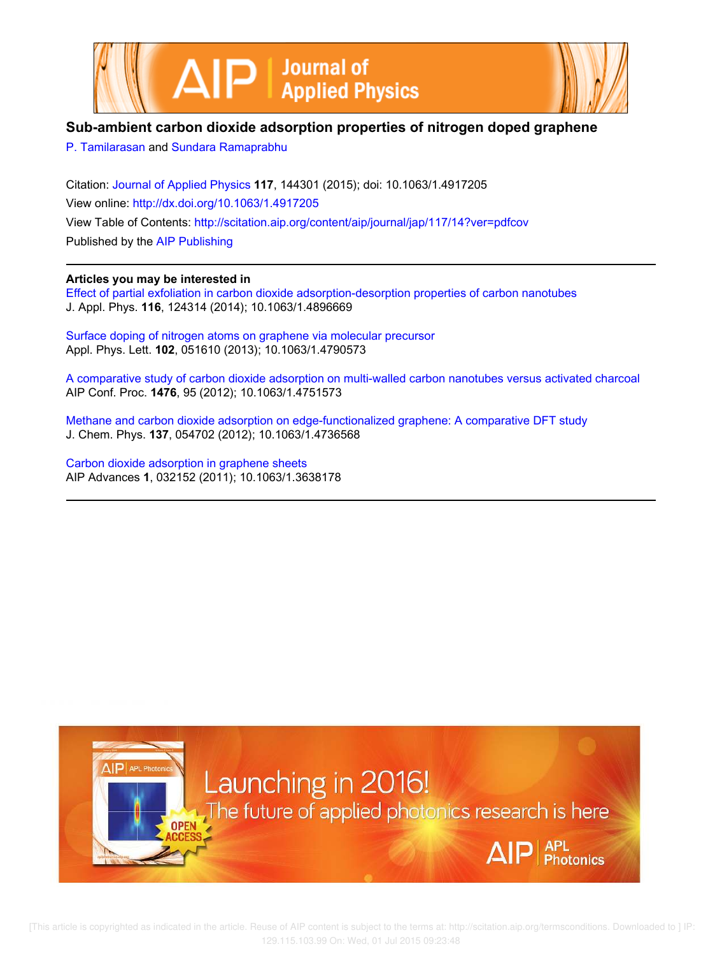



## **Sub-ambient carbon dioxide adsorption properties of nitrogen doped graphene**

P. Tamilarasan and Sundara Ramaprabhu

Citation: Journal of Applied Physics **117**, 144301 (2015); doi: 10.1063/1.4917205 View online: http://dx.doi.org/10.1063/1.4917205 View Table of Contents: http://scitation.aip.org/content/aip/journal/jap/117/14?ver=pdfcov Published by the AIP Publishing

## **Articles you may be interested in**

Effect of partial exfoliation in carbon dioxide adsorption-desorption properties of carbon nanotubes J. Appl. Phys. **116**, 124314 (2014); 10.1063/1.4896669

Surface doping of nitrogen atoms on graphene via molecular precursor Appl. Phys. Lett. **102**, 051610 (2013); 10.1063/1.4790573

A comparative study of carbon dioxide adsorption on multi-walled carbon nanotubes versus activated charcoal AIP Conf. Proc. **1476**, 95 (2012); 10.1063/1.4751573

Methane and carbon dioxide adsorption on edge-functionalized graphene: A comparative DFT study J. Chem. Phys. **137**, 054702 (2012); 10.1063/1.4736568

Carbon dioxide adsorption in graphene sheets AIP Advances **1**, 032152 (2011); 10.1063/1.3638178



 [This article is copyrighted as indicated in the article. Reuse of AIP content is subject to the terms at: http://scitation.aip.org/termsconditions. Downloaded to ] IP: 129.115.103.99 On: Wed, 01 Jul 2015 09:23:48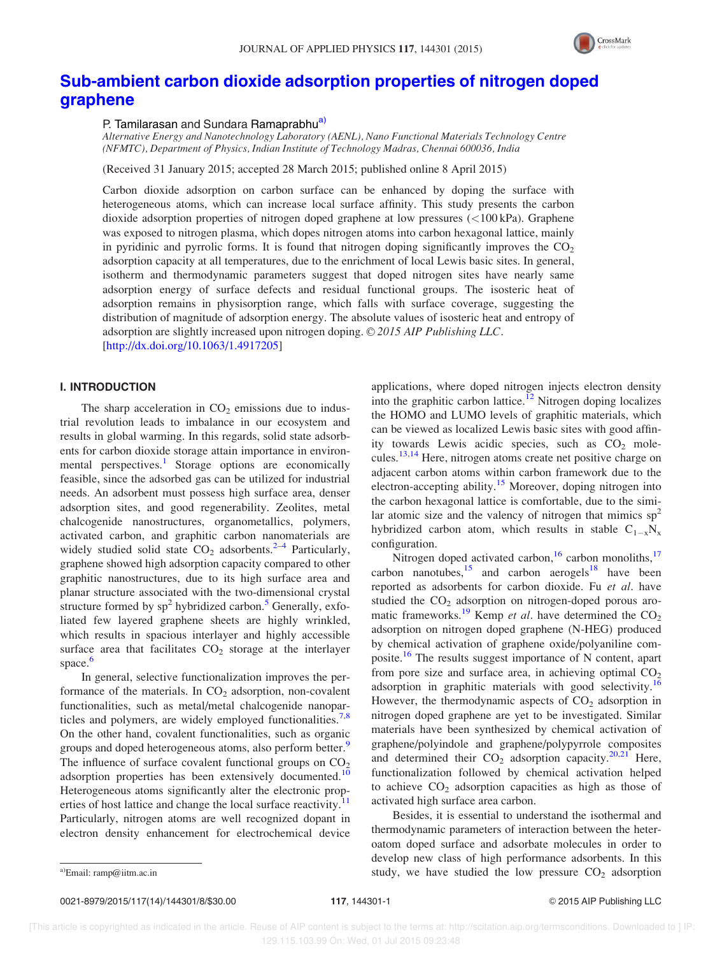

# Sub-ambient carbon dioxide adsorption properties of nitrogen doped graphene

## P. Tamilarasan and Sundara Ramaprabhu<sup>a)</sup>

Alternative Energy and Nanotechnology Laboratory (AENL), Nano Functional Materials Technology Centre (NFMTC), Department of Physics, Indian Institute of Technology Madras, Chennai 600036, India

(Received 31 January 2015; accepted 28 March 2015; published online 8 April 2015)

Carbon dioxide adsorption on carbon surface can be enhanced by doping the surface with heterogeneous atoms, which can increase local surface affinity. This study presents the carbon dioxide adsorption properties of nitrogen doped graphene at low pressures (<100 kPa). Graphene was exposed to nitrogen plasma, which dopes nitrogen atoms into carbon hexagonal lattice, mainly in pyridinic and pyrrolic forms. It is found that nitrogen doping significantly improves the  $CO<sub>2</sub>$ adsorption capacity at all temperatures, due to the enrichment of local Lewis basic sites. In general, isotherm and thermodynamic parameters suggest that doped nitrogen sites have nearly same adsorption energy of surface defects and residual functional groups. The isosteric heat of adsorption remains in physisorption range, which falls with surface coverage, suggesting the distribution of magnitude of adsorption energy. The absolute values of isosteric heat and entropy of adsorption are slightly increased upon nitrogen doping.  $\odot$  2015 AIP Publishing LLC. [http://dx.doi.org/10.1063/1.4917205]

## I. INTRODUCTION

The sharp acceleration in  $CO<sub>2</sub>$  emissions due to industrial revolution leads to imbalance in our ecosystem and results in global warming. In this regards, solid state adsorbents for carbon dioxide storage attain importance in environmental perspectives.<sup>1</sup> Storage options are economically feasible, since the adsorbed gas can be utilized for industrial needs. An adsorbent must possess high surface area, denser adsorption sites, and good regenerability. Zeolites, metal chalcogenide nanostructures, organometallics, polymers, activated carbon, and graphitic carbon nanomaterials are widely studied solid state  $CO<sub>2</sub>$  adsorbents.<sup>2-4</sup> Particularly, graphene showed high adsorption capacity compared to other graphitic nanostructures, due to its high surface area and planar structure associated with the two-dimensional crystal structure formed by  $sp^2$  hybridized carbon.<sup>5</sup> Generally, exfoliated few layered graphene sheets are highly wrinkled, which results in spacious interlayer and highly accessible surface area that facilitates  $CO<sub>2</sub>$  storage at the interlayer space.<sup>6</sup>

In general, selective functionalization improves the performance of the materials. In  $CO<sub>2</sub>$  adsorption, non-covalent functionalities, such as metal/metal chalcogenide nanoparticles and polymers, are widely employed functionalities.<sup>7,8</sup> On the other hand, covalent functionalities, such as organic groups and doped heterogeneous atoms, also perform better.<sup>9</sup> The influence of surface covalent functional groups on  $CO<sub>2</sub>$ adsorption properties has been extensively documented.<sup>10</sup> Heterogeneous atoms significantly alter the electronic properties of host lattice and change the local surface reactivity.<sup>1</sup> Particularly, nitrogen atoms are well recognized dopant in electron density enhancement for electrochemical device

applications, where doped nitrogen injects electron density into the graphitic carbon lattice.<sup> $12$ </sup> Nitrogen doping localizes the HOMO and LUMO levels of graphitic materials, which can be viewed as localized Lewis basic sites with good affinity towards Lewis acidic species, such as  $CO<sub>2</sub>$  molecules.13,14 Here, nitrogen atoms create net positive charge on adjacent carbon atoms within carbon framework due to the electron-accepting ability.<sup>15</sup> Moreover, doping nitrogen into the carbon hexagonal lattice is comfortable, due to the similar atomic size and the valency of nitrogen that mimics  $sp<sup>2</sup>$ hybridized carbon atom, which results in stable  $C_{1-x}N_x$ configuration.

Nitrogen doped activated carbon,<sup>16</sup> carbon monoliths,<sup>17</sup> carbon nanotubes, $15$  and carbon aerogels<sup>18</sup> have been reported as adsorbents for carbon dioxide. Fu et al. have studied the  $CO<sub>2</sub>$  adsorption on nitrogen-doped porous aromatic frameworks.<sup>19</sup> Kemp et al. have determined the  $CO<sub>2</sub>$ adsorption on nitrogen doped graphene (N-HEG) produced by chemical activation of graphene oxide/polyaniline composite.<sup>16</sup> The results suggest importance of N content, apart from pore size and surface area, in achieving optimal  $CO<sub>2</sub>$ adsorption in graphitic materials with good selectivity.<sup>16</sup> However, the thermodynamic aspects of  $CO<sub>2</sub>$  adsorption in nitrogen doped graphene are yet to be investigated. Similar materials have been synthesized by chemical activation of graphene/polyindole and graphene/polypyrrole composites and determined their  $CO<sub>2</sub>$  adsorption capacity.<sup>20,21</sup> Here, functionalization followed by chemical activation helped to achieve  $CO<sub>2</sub>$  adsorption capacities as high as those of activated high surface area carbon.

Besides, it is essential to understand the isothermal and thermodynamic parameters of interaction between the heteroatom doped surface and adsorbate molecules in order to develop new class of high performance adsorbents. In this a)Email: ramp@iitm.ac.in  $\text{stud}_y$ , we have studied the low pressure  $\text{CO}_2$  adsorption

0021-8979/2015/117(14)/144301/8/\$30.00 117, 144301-1 © 2015 AIP Publishing LLC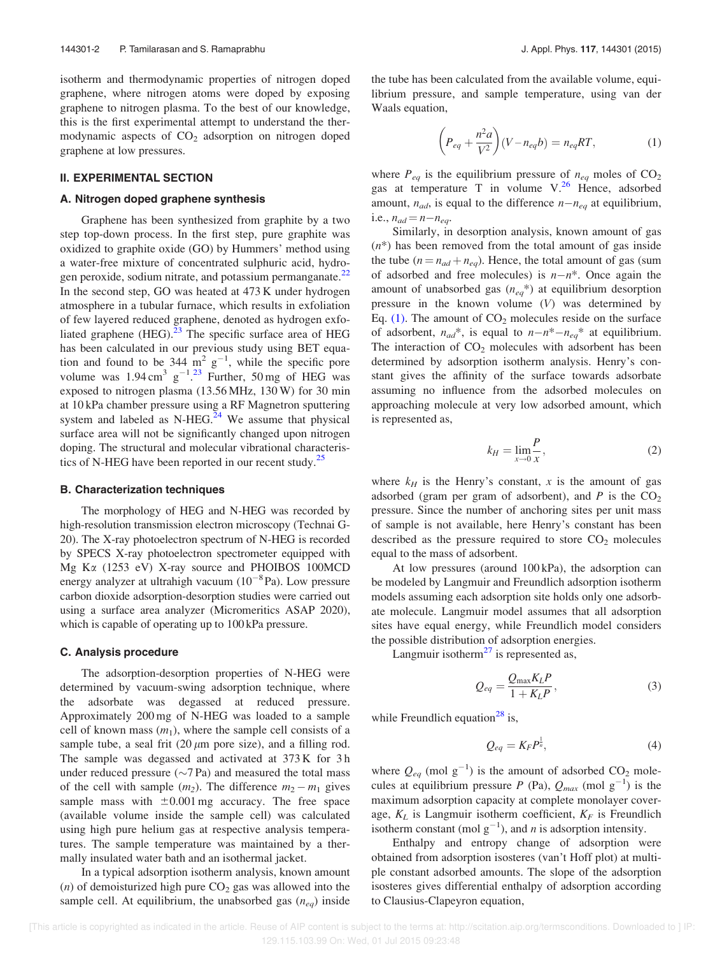isotherm and thermodynamic properties of nitrogen doped graphene, where nitrogen atoms were doped by exposing graphene to nitrogen plasma. To the best of our knowledge, this is the first experimental attempt to understand the thermodynamic aspects of  $CO<sub>2</sub>$  adsorption on nitrogen doped graphene at low pressures.

## II. EXPERIMENTAL SECTION

## A. Nitrogen doped graphene synthesis

Graphene has been synthesized from graphite by a two step top-down process. In the first step, pure graphite was oxidized to graphite oxide (GO) by Hummers' method using a water-free mixture of concentrated sulphuric acid, hydrogen peroxide, sodium nitrate, and potassium permanganate.<sup>22</sup> In the second step, GO was heated at 473 K under hydrogen atmosphere in a tubular furnace, which results in exfoliation of few layered reduced graphene, denoted as hydrogen exfoliated graphene  $(HEG)$ <sup>23</sup>. The specific surface area of HEG has been calculated in our previous study using BET equation and found to be 344  $\text{m}^2$  g<sup>-1</sup>, while the specific pore volume was  $1.94 \text{ cm}^3 \text{ g}^{-1}$ .<sup>23</sup> Further, 50 mg of HEG was exposed to nitrogen plasma (13.56 MHz, 130 W) for 30 min at 10 kPa chamber pressure using a RF Magnetron sputtering system and labeled as N-HEG. $^{24}$  We assume that physical surface area will not be significantly changed upon nitrogen doping. The structural and molecular vibrational characteristics of N-HEG have been reported in our recent study.<sup>25</sup>

#### B. Characterization techniques

The morphology of HEG and N-HEG was recorded by high-resolution transmission electron microscopy (Technai G-20). The X-ray photoelectron spectrum of N-HEG is recorded by SPECS X-ray photoelectron spectrometer equipped with Mg K $\alpha$  (1253 eV) X-ray source and PHOIBOS 100MCD energy analyzer at ultrahigh vacuum  $(10^{-8}$ Pa). Low pressure carbon dioxide adsorption-desorption studies were carried out using a surface area analyzer (Micromeritics ASAP 2020), which is capable of operating up to  $100 \text{ kPa}$  pressure.

#### C. Analysis procedure

The adsorption-desorption properties of N-HEG were determined by vacuum-swing adsorption technique, where the adsorbate was degassed at reduced pressure. Approximately 200 mg of N-HEG was loaded to a sample cell of known mass  $(m_1)$ , where the sample cell consists of a sample tube, a seal frit  $(20 \mu m)$  pore size), and a filling rod. The sample was degassed and activated at 373 K for 3 h under reduced pressure  $(\sim 7$  Pa) and measured the total mass of the cell with sample  $(m_2)$ . The difference  $m_2 - m_1$  gives sample mass with  $\pm 0.001$  mg accuracy. The free space (available volume inside the sample cell) was calculated using high pure helium gas at respective analysis temperatures. The sample temperature was maintained by a thermally insulated water bath and an isothermal jacket.

In a typical adsorption isotherm analysis, known amount (*n*) of demoisturized high pure  $CO<sub>2</sub>$  gas was allowed into the sample cell. At equilibrium, the unabsorbed gas  $(n_{eq})$  inside the tube has been calculated from the available volume, equilibrium pressure, and sample temperature, using van der Waals equation,

$$
\left(P_{eq} + \frac{n^2 a}{V^2}\right)(V - n_{eq}b) = n_{eq}RT,\tag{1}
$$

where  $P_{eq}$  is the equilibrium pressure of  $n_{eq}$  moles of  $CO<sub>2</sub>$ gas at temperature T in volume  $V^{26}$  Hence, adsorbed amount,  $n_{ad}$ , is equal to the difference  $n-n_{eq}$  at equilibrium, i.e.,  $n_{ad} = n - n_{eq}$ .

Similarly, in desorption analysis, known amount of gas  $(n^*)$  has been removed from the total amount of gas inside the tube ( $n = n_{ad} + n_{eq}$ ). Hence, the total amount of gas (sum of adsorbed and free molecules) is  $n-n^*$ . Once again the amount of unabsorbed gas  $(n_{eq}^*)$  at equilibrium desorption pressure in the known volume (V) was determined by Eq. (1). The amount of  $CO<sub>2</sub>$  molecules reside on the surface of adsorbent,  $n_{ad}$ <sup>\*</sup>, is equal to  $n - n$ <sup>\*</sup> $-n_{eq}$ <sup>\*</sup> at equilibrium. The interaction of  $CO<sub>2</sub>$  molecules with adsorbent has been determined by adsorption isotherm analysis. Henry's constant gives the affinity of the surface towards adsorbate assuming no influence from the adsorbed molecules on approaching molecule at very low adsorbed amount, which is represented as,

$$
k_H = \lim_{x \to 0} \frac{P}{x},\tag{2}
$$

where  $k_H$  is the Henry's constant, x is the amount of gas adsorbed (gram per gram of adsorbent), and  $P$  is the  $CO<sub>2</sub>$ pressure. Since the number of anchoring sites per unit mass of sample is not available, here Henry's constant has been described as the pressure required to store  $CO<sub>2</sub>$  molecules equal to the mass of adsorbent.

At low pressures (around 100 kPa), the adsorption can be modeled by Langmuir and Freundlich adsorption isotherm models assuming each adsorption site holds only one adsorbate molecule. Langmuir model assumes that all adsorption sites have equal energy, while Freundlich model considers the possible distribution of adsorption energies.

Langmuir isotherm $^{27}$  is represented as,

$$
Q_{eq} = \frac{Q_{\text{max}} K_L P}{1 + K_L P},\tag{3}
$$

while Freundlich equation<sup>28</sup> is,

$$
Q_{eq} = K_F P^{\frac{1}{n}},\tag{4}
$$

where  $Q_{eq}$  (mol  $g^{-1}$ ) is the amount of adsorbed CO<sub>2</sub> molecules at equilibrium pressure P (Pa),  $Q_{max}$  (mol  $g^{-1}$ ) is the maximum adsorption capacity at complete monolayer coverage,  $K_L$  is Langmuir isotherm coefficient,  $K_F$  is Freundlich isotherm constant (mol  $g^{-1}$ ), and *n* is adsorption intensity.

Enthalpy and entropy change of adsorption were obtained from adsorption isosteres (van't Hoff plot) at multiple constant adsorbed amounts. The slope of the adsorption isosteres gives differential enthalpy of adsorption according to Clausius-Clapeyron equation,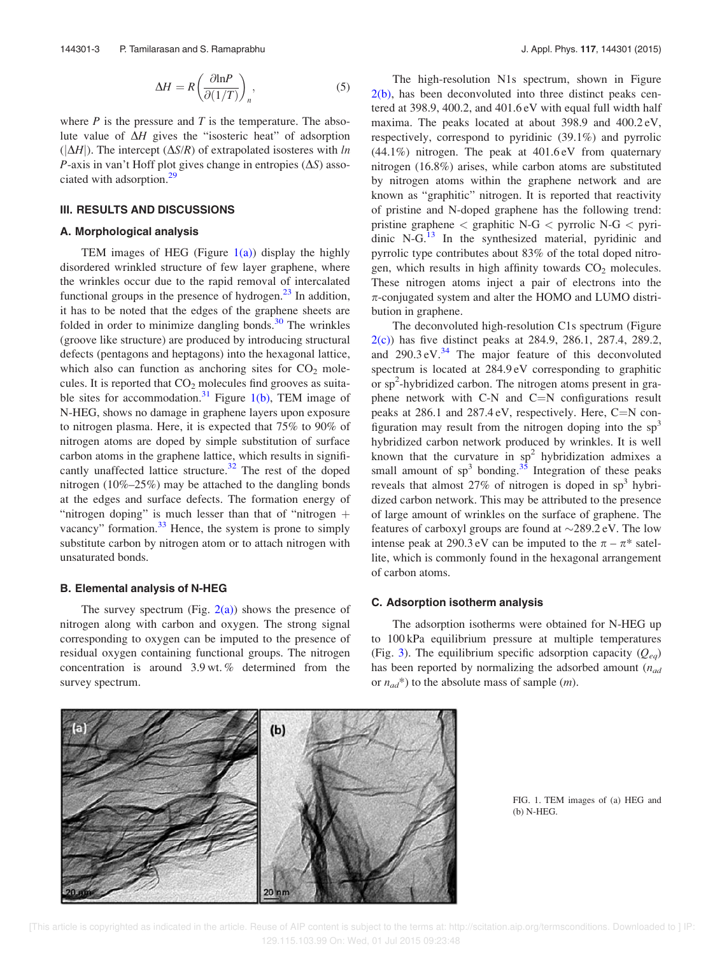$$
\Delta H = R \left( \frac{\partial \ln P}{\partial (1/T)} \right)_n,\tag{5}
$$

where  $P$  is the pressure and  $T$  is the temperature. The absolute value of  $\Delta H$  gives the "isosteric heat" of adsorption  $(|\Delta H|)$ . The intercept  $(\Delta S/R)$  of extrapolated isosteres with ln P-axis in van't Hoff plot gives change in entropies  $(\Delta S)$  associated with adsorption.<sup>29</sup>

#### III. RESULTS AND DISCUSSIONS

#### A. Morphological analysis

TEM images of HEG (Figure  $1(a)$ ) display the highly disordered wrinkled structure of few layer graphene, where the wrinkles occur due to the rapid removal of intercalated functional groups in the presence of hydrogen. $^{23}$  In addition, it has to be noted that the edges of the graphene sheets are folded in order to minimize dangling bonds. $30$  The wrinkles (groove like structure) are produced by introducing structural defects (pentagons and heptagons) into the hexagonal lattice, which also can function as anchoring sites for  $CO<sub>2</sub>$  molecules. It is reported that  $CO<sub>2</sub>$  molecules find grooves as suitable sites for accommodation.<sup>31</sup> Figure 1(b), TEM image of N-HEG, shows no damage in graphene layers upon exposure to nitrogen plasma. Here, it is expected that 75% to 90% of nitrogen atoms are doped by simple substitution of surface carbon atoms in the graphene lattice, which results in significantly unaffected lattice structure. $32$  The rest of the doped nitrogen (10%–25%) may be attached to the dangling bonds at the edges and surface defects. The formation energy of "nitrogen doping" is much lesser than that of "nitrogen  $+$ vacancy" formation. $33$  Hence, the system is prone to simply substitute carbon by nitrogen atom or to attach nitrogen with unsaturated bonds.

### B. Elemental analysis of N-HEG

The survey spectrum (Fig.  $2(a)$ ) shows the presence of nitrogen along with carbon and oxygen. The strong signal corresponding to oxygen can be imputed to the presence of residual oxygen containing functional groups. The nitrogen concentration is around 3.9 wt. % determined from the survey spectrum.

The high-resolution N1s spectrum, shown in Figure  $2(b)$ , has been deconvoluted into three distinct peaks centered at 398.9, 400.2, and 401.6 eV with equal full width half maxima. The peaks located at about 398.9 and 400.2 eV, respectively, correspond to pyridinic (39.1%) and pyrrolic (44.1%) nitrogen. The peak at 401.6 eV from quaternary nitrogen (16.8%) arises, while carbon atoms are substituted by nitrogen atoms within the graphene network and are known as "graphitic" nitrogen. It is reported that reactivity of pristine and N-doped graphene has the following trend: pristine graphene < graphitic N-G < pyrrolic N-G < pyridinic  $N-G$ .<sup>13</sup> In the synthesized material, pyridinic and pyrrolic type contributes about 83% of the total doped nitrogen, which results in high affinity towards  $CO<sub>2</sub>$  molecules. These nitrogen atoms inject a pair of electrons into the  $\pi$ -conjugated system and alter the HOMO and LUMO distribution in graphene.

The deconvoluted high-resolution C1s spectrum (Figure 2(c)) has five distinct peaks at 284.9, 286.1, 287.4, 289.2, and  $290.3 \text{ eV}^{34}$  The major feature of this deconvoluted spectrum is located at 284.9 eV corresponding to graphitic or sp<sup>2</sup>-hybridized carbon. The nitrogen atoms present in graphene network with C-N and C $=N$  configurations result peaks at  $286.1$  and  $287.4 \text{ eV}$ , respectively. Here, C=N configuration may result from the nitrogen doping into the  $sp<sup>3</sup>$ hybridized carbon network produced by wrinkles. It is well known that the curvature in  $sp^2$  hybridization admixes a small amount of  $sp^3$  bonding.<sup>35</sup> Integration of these peaks reveals that almost 27% of nitrogen is doped in sp<sup>3</sup> hybridized carbon network. This may be attributed to the presence of large amount of wrinkles on the surface of graphene. The features of carboxyl groups are found at  $\sim$ 289.2 eV. The low intense peak at 290.3 eV can be imputed to the  $\pi - \pi^*$  satellite, which is commonly found in the hexagonal arrangement of carbon atoms.

## C. Adsorption isotherm analysis

The adsorption isotherms were obtained for N-HEG up to 100 kPa equilibrium pressure at multiple temperatures (Fig. 3). The equilibrium specific adsorption capacity  $(Q_{eq})$ has been reported by normalizing the adsorbed amount  $(n_{ad}$ or  $n_{ad}$ <sup>\*</sup>) to the absolute mass of sample (*m*).



FIG. 1. TEM images of (a) HEG and (b) N-HEG.

 [This article is copyrighted as indicated in the article. Reuse of AIP content is subject to the terms at: http://scitation.aip.org/termsconditions. Downloaded to ] IP: 129.115.103.99 On: Wed, 01 Jul 2015 09:23:48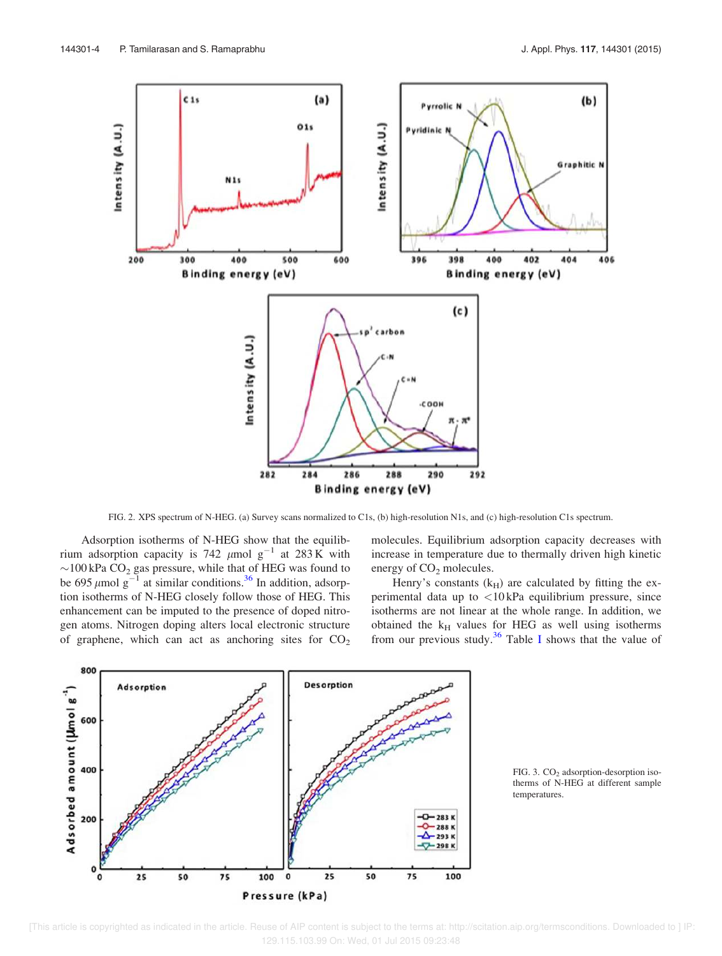

FIG. 2. XPS spectrum of N-HEG. (a) Survey scans normalized to C1s, (b) high-resolution N1s, and (c) high-resolution C1s spectrum.

Adsorption isotherms of N-HEG show that the equilibrium adsorption capacity is 742  $\mu$ mol g<sup>-1</sup> at 283 K with  $\sim$ 100 kPa CO<sub>2</sub> gas pressure, while that of HEG was found to be 695  $\mu$ mol g<sup>-1</sup> at similar conditions.<sup>36</sup> In addition, adsorption isotherms of N-HEG closely follow those of HEG. This enhancement can be imputed to the presence of doped nitrogen atoms. Nitrogen doping alters local electronic structure of graphene, which can act as anchoring sites for  $CO<sub>2</sub>$  molecules. Equilibrium adsorption capacity decreases with increase in temperature due to thermally driven high kinetic energy of  $CO<sub>2</sub>$  molecules.

Henry's constants  $(k_H)$  are calculated by fitting the experimental data up to <10 kPa equilibrium pressure, since isotherms are not linear at the whole range. In addition, we obtained the  $k_H$  values for HEG as well using isotherms from our previous study.<sup>36</sup> Table I shows that the value of



FIG. 3.  $CO<sub>2</sub>$  adsorption-desorption isotherms of N-HEG at different sample temperatures.

 <sup>[</sup>This article is copyrighted as indicated in the article. Reuse of AIP content is subject to the terms at: http://scitation.aip.org/termsconditions. Downloaded to ] IP: 129.115.103.99 On: Wed, 01 Jul 2015 09:23:48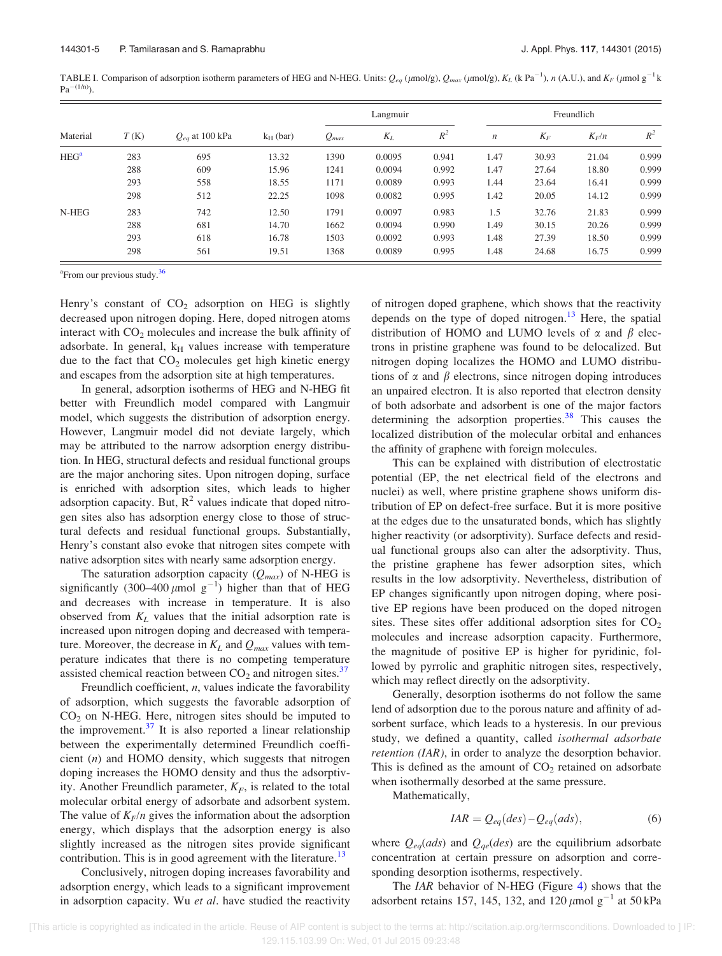TABLE I. Comparison of adsorption isotherm parameters of HEG and N-HEG. Units:  $Q_{eq}$  ( $\mu$ mol/g),  $Q_{max}$  ( $\mu$ mol/g),  $K_L$  (k Pa<sup>-1</sup>), n (A.U.), and  $K_F$  ( $\mu$ mol g<sup>-1</sup> k  $Pa^{-(1/n)}$ ).

| Material | T(K) | $Q_{eq}$ at 100 kPa | $k_H$ (bar) | Langmuir  |        |       | Freundlich       |       |         |       |
|----------|------|---------------------|-------------|-----------|--------|-------|------------------|-------|---------|-------|
|          |      |                     |             | $Q_{max}$ | $K_L$  | $R^2$ | $\boldsymbol{n}$ | $K_F$ | $K_F/n$ | $R^2$ |
| $HEG^a$  | 283  | 695                 | 13.32       | 1390      | 0.0095 | 0.941 | 1.47             | 30.93 | 21.04   | 0.999 |
|          | 288  | 609                 | 15.96       | 1241      | 0.0094 | 0.992 | 1.47             | 27.64 | 18.80   | 0.999 |
|          | 293  | 558                 | 18.55       | 1171      | 0.0089 | 0.993 | 1.44             | 23.64 | 16.41   | 0.999 |
|          | 298  | 512                 | 22.25       | 1098      | 0.0082 | 0.995 | 1.42             | 20.05 | 14.12   | 0.999 |
| N-HEG    | 283  | 742                 | 12.50       | 1791      | 0.0097 | 0.983 | 1.5              | 32.76 | 21.83   | 0.999 |
|          | 288  | 681                 | 14.70       | 1662      | 0.0094 | 0.990 | 1.49             | 30.15 | 20.26   | 0.999 |
|          | 293  | 618                 | 16.78       | 1503      | 0.0092 | 0.993 | 1.48             | 27.39 | 18.50   | 0.999 |
|          | 298  | 561                 | 19.51       | 1368      | 0.0089 | 0.995 | 1.48             | 24.68 | 16.75   | 0.999 |

<sup>a</sup>From our previous study.<sup>36</sup>

Henry's constant of  $CO<sub>2</sub>$  adsorption on HEG is slightly decreased upon nitrogen doping. Here, doped nitrogen atoms interact with  $CO<sub>2</sub>$  molecules and increase the bulk affinity of adsorbate. In general,  $k_H$  values increase with temperature due to the fact that  $CO<sub>2</sub>$  molecules get high kinetic energy and escapes from the adsorption site at high temperatures.

In general, adsorption isotherms of HEG and N-HEG fit better with Freundlich model compared with Langmuir model, which suggests the distribution of adsorption energy. However, Langmuir model did not deviate largely, which may be attributed to the narrow adsorption energy distribution. In HEG, structural defects and residual functional groups are the major anchoring sites. Upon nitrogen doping, surface is enriched with adsorption sites, which leads to higher adsorption capacity. But,  $R^2$  values indicate that doped nitrogen sites also has adsorption energy close to those of structural defects and residual functional groups. Substantially, Henry's constant also evoke that nitrogen sites compete with native adsorption sites with nearly same adsorption energy.

The saturation adsorption capacity  $(Q_{max})$  of N-HEG is significantly (300–400  $\mu$ mol g<sup>-1</sup>) higher than that of HEG and decreases with increase in temperature. It is also observed from  $K_L$  values that the initial adsorption rate is increased upon nitrogen doping and decreased with temperature. Moreover, the decrease in  $K_L$  and  $Q_{max}$  values with temperature indicates that there is no competing temperature assisted chemical reaction between  $CO<sub>2</sub>$  and nitrogen sites.<sup>37</sup>

Freundlich coefficient,  $n$ , values indicate the favorability of adsorption, which suggests the favorable adsorption of  $CO<sub>2</sub>$  on N-HEG. Here, nitrogen sites should be imputed to the improvement. $37$  It is also reported a linear relationship between the experimentally determined Freundlich coefficient  $(n)$  and HOMO density, which suggests that nitrogen doping increases the HOMO density and thus the adsorptivity. Another Freundlich parameter,  $K_F$ , is related to the total molecular orbital energy of adsorbate and adsorbent system. The value of  $K_F/n$  gives the information about the adsorption energy, which displays that the adsorption energy is also slightly increased as the nitrogen sites provide significant contribution. This is in good agreement with the literature.<sup>13</sup>

Conclusively, nitrogen doping increases favorability and adsorption energy, which leads to a significant improvement in adsorption capacity. Wu et al. have studied the reactivity of nitrogen doped graphene, which shows that the reactivity depends on the type of doped nitrogen.<sup>13</sup> Here, the spatial distribution of HOMO and LUMO levels of  $\alpha$  and  $\beta$  electrons in pristine graphene was found to be delocalized. But nitrogen doping localizes the HOMO and LUMO distributions of  $\alpha$  and  $\beta$  electrons, since nitrogen doping introduces an unpaired electron. It is also reported that electron density of both adsorbate and adsorbent is one of the major factors determining the adsorption properties. $38$  This causes the localized distribution of the molecular orbital and enhances the affinity of graphene with foreign molecules.

This can be explained with distribution of electrostatic potential (EP, the net electrical field of the electrons and nuclei) as well, where pristine graphene shows uniform distribution of EP on defect-free surface. But it is more positive at the edges due to the unsaturated bonds, which has slightly higher reactivity (or adsorptivity). Surface defects and residual functional groups also can alter the adsorptivity. Thus, the pristine graphene has fewer adsorption sites, which results in the low adsorptivity. Nevertheless, distribution of EP changes significantly upon nitrogen doping, where positive EP regions have been produced on the doped nitrogen sites. These sites offer additional adsorption sites for  $CO<sub>2</sub>$ molecules and increase adsorption capacity. Furthermore, the magnitude of positive EP is higher for pyridinic, followed by pyrrolic and graphitic nitrogen sites, respectively, which may reflect directly on the adsorptivity.

Generally, desorption isotherms do not follow the same lend of adsorption due to the porous nature and affinity of adsorbent surface, which leads to a hysteresis. In our previous study, we defined a quantity, called isothermal adsorbate retention (IAR), in order to analyze the desorption behavior. This is defined as the amount of  $CO<sub>2</sub>$  retained on adsorbate when isothermally desorbed at the same pressure.

Mathematically,

$$
IAR = Q_{eq}(des) - Q_{eq}(ads),
$$
\n(6)

where  $Q_{eq}(ads)$  and  $Q_{qe}(des)$  are the equilibrium adsorbate concentration at certain pressure on adsorption and corresponding desorption isotherms, respectively.

The IAR behavior of N-HEG (Figure 4) shows that the adsorbent retains 157, 145, 132, and  $120 \mu$ mol g<sup>-1</sup> at 50 kPa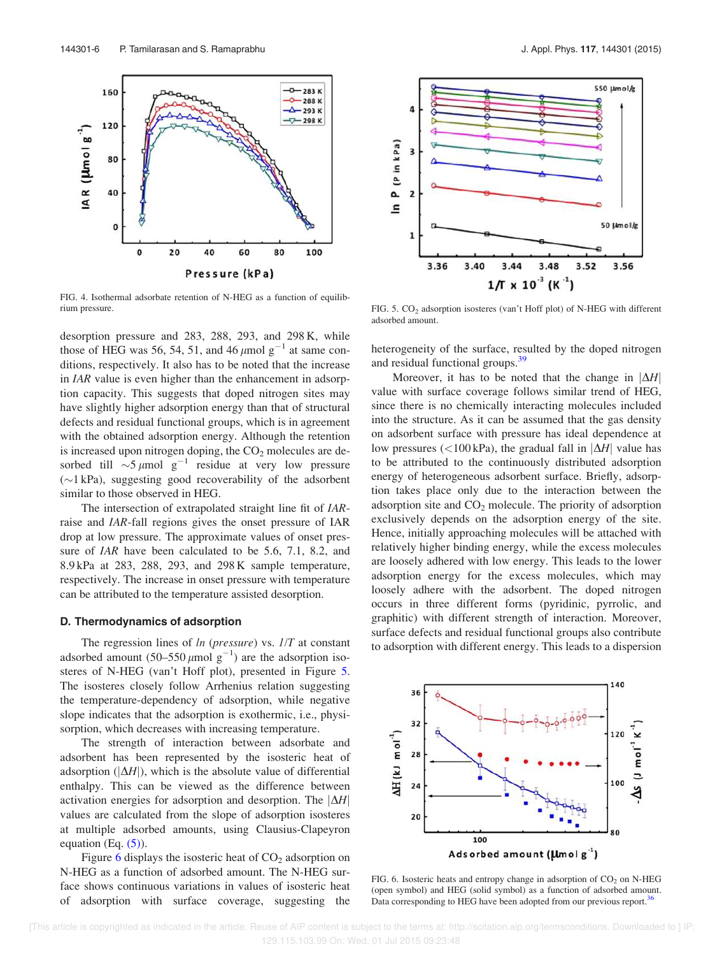

FIG. 4. Isothermal adsorbate retention of N-HEG as a function of equilibrium pressure. FIG. 5. CO<sup>2</sup> adsorption isosteres (van't Hoff plot) of N-HEG with different

desorption pressure and 283, 288, 293, and 298 K, while those of HEG was 56, 54, 51, and 46  $\mu$ mol g<sup>-1</sup> at same conditions, respectively. It also has to be noted that the increase in IAR value is even higher than the enhancement in adsorption capacity. This suggests that doped nitrogen sites may have slightly higher adsorption energy than that of structural defects and residual functional groups, which is in agreement with the obtained adsorption energy. Although the retention is increased upon nitrogen doping, the  $CO<sub>2</sub>$  molecules are desorbed till  $\sim 5 \mu$ mol g<sup>-1</sup> residue at very low pressure  $(\sim)1$  kPa), suggesting good recoverability of the adsorbent similar to those observed in HEG.

The intersection of extrapolated straight line fit of IARraise and IAR-fall regions gives the onset pressure of IAR drop at low pressure. The approximate values of onset pressure of *IAR* have been calculated to be 5.6, 7.1, 8.2, and 8.9 kPa at 283, 288, 293, and 298 K sample temperature, respectively. The increase in onset pressure with temperature can be attributed to the temperature assisted desorption.

#### D. Thermodynamics of adsorption

The regression lines of  $ln$  (pressure) vs.  $1/T$  at constant adsorbed amount  $(50-550 \mu \text{mol g}^{-1})$  are the adsorption isosteres of N-HEG (van't Hoff plot), presented in Figure 5. The isosteres closely follow Arrhenius relation suggesting the temperature-dependency of adsorption, while negative slope indicates that the adsorption is exothermic, i.e., physisorption, which decreases with increasing temperature.

The strength of interaction between adsorbate and adsorbent has been represented by the isosteric heat of adsorption ( $|\Delta H|$ ), which is the absolute value of differential enthalpy. This can be viewed as the difference between activation energies for adsorption and desorption. The  $|\Delta H|$ values are calculated from the slope of adsorption isosteres at multiple adsorbed amounts, using Clausius-Clapeyron equation (Eq.  $(5)$ ).

Figure 6 displays the isosteric heat of  $CO<sub>2</sub>$  adsorption on N-HEG as a function of adsorbed amount. The N-HEG surface shows continuous variations in values of isosteric heat of adsorption with surface coverage, suggesting the



adsorbed amount.

heterogeneity of the surface, resulted by the doped nitrogen and residual functional groups.<sup>39</sup>

Moreover, it has to be noted that the change in  $|\Delta H|$ value with surface coverage follows similar trend of HEG, since there is no chemically interacting molecules included into the structure. As it can be assumed that the gas density on adsorbent surface with pressure has ideal dependence at low pressures (<100 kPa), the gradual fall in  $|\Delta H|$  value has to be attributed to the continuously distributed adsorption energy of heterogeneous adsorbent surface. Briefly, adsorption takes place only due to the interaction between the adsorption site and  $CO<sub>2</sub>$  molecule. The priority of adsorption exclusively depends on the adsorption energy of the site. Hence, initially approaching molecules will be attached with relatively higher binding energy, while the excess molecules are loosely adhered with low energy. This leads to the lower adsorption energy for the excess molecules, which may loosely adhere with the adsorbent. The doped nitrogen occurs in three different forms (pyridinic, pyrrolic, and graphitic) with different strength of interaction. Moreover, surface defects and residual functional groups also contribute to adsorption with different energy. This leads to a dispersion



FIG. 6. Isosteric heats and entropy change in adsorption of  $CO<sub>2</sub>$  on N-HEG (open symbol) and HEG (solid symbol) as a function of adsorbed amount. Data corresponding to HEG have been adopted from our previous report.<sup>36</sup>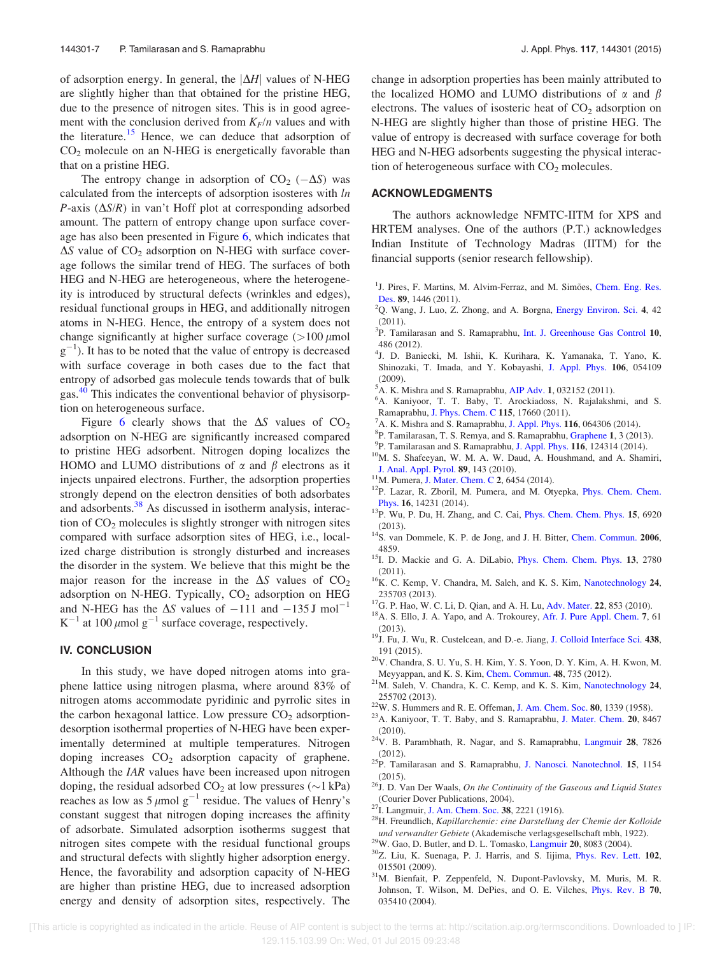of adsorption energy. In general, the  $|\Delta H|$  values of N-HEG are slightly higher than that obtained for the pristine HEG, due to the presence of nitrogen sites. This is in good agreement with the conclusion derived from  $K_F/n$  values and with the literature.<sup>15</sup> Hence, we can deduce that adsorption of  $CO<sub>2</sub>$  molecule on an N-HEG is energetically favorable than that on a pristine HEG.

The entropy change in adsorption of  $CO_2$  ( $-\Delta S$ ) was calculated from the intercepts of adsorption isosteres with ln P-axis  $(\Delta S/R)$  in van't Hoff plot at corresponding adsorbed amount. The pattern of entropy change upon surface coverage has also been presented in Figure 6, which indicates that  $\Delta S$  value of CO<sub>2</sub> adsorption on N-HEG with surface coverage follows the similar trend of HEG. The surfaces of both HEG and N-HEG are heterogeneous, where the heterogeneity is introduced by structural defects (wrinkles and edges), residual functional groups in HEG, and additionally nitrogen atoms in N-HEG. Hence, the entropy of a system does not change significantly at higher surface coverage  $(>100 \mu mol)$  $g^{-1}$ ). It has to be noted that the value of entropy is decreased with surface coverage in both cases due to the fact that entropy of adsorbed gas molecule tends towards that of bulk gas.<sup>40</sup> This indicates the conventional behavior of physisorption on heterogeneous surface.

Figure 6 clearly shows that the  $\Delta S$  values of  $CO<sub>2</sub>$ adsorption on N-HEG are significantly increased compared to pristine HEG adsorbent. Nitrogen doping localizes the HOMO and LUMO distributions of  $\alpha$  and  $\beta$  electrons as it injects unpaired electrons. Further, the adsorption properties strongly depend on the electron densities of both adsorbates and adsorbents.<sup>38</sup> As discussed in isotherm analysis, interaction of  $CO<sub>2</sub>$  molecules is slightly stronger with nitrogen sites compared with surface adsorption sites of HEG, i.e., localized charge distribution is strongly disturbed and increases the disorder in the system. We believe that this might be the major reason for the increase in the  $\Delta S$  values of  $CO<sub>2</sub>$ adsorption on N-HEG. Typically,  $CO<sub>2</sub>$  adsorption on HEG and N-HEG has the  $\Delta S$  values of  $-111$  and  $-135$  J mol<sup>-1</sup>  $K^{-1}$  at 100  $\mu$ mol g<sup>-1</sup> surface coverage, respectively.

## IV. CONCLUSION

In this study, we have doped nitrogen atoms into graphene lattice using nitrogen plasma, where around 83% of nitrogen atoms accommodate pyridinic and pyrrolic sites in the carbon hexagonal lattice. Low pressure  $CO<sub>2</sub>$  adsorptiondesorption isothermal properties of N-HEG have been experimentally determined at multiple temperatures. Nitrogen doping increases  $CO<sub>2</sub>$  adsorption capacity of graphene. Although the IAR values have been increased upon nitrogen doping, the residual adsorbed  $CO<sub>2</sub>$  at low pressures ( $\sim$ 1 kPa) reaches as low as  $5 \mu$ mol g<sup>-1</sup> residue. The values of Henry's constant suggest that nitrogen doping increases the affinity of adsorbate. Simulated adsorption isotherms suggest that nitrogen sites compete with the residual functional groups and structural defects with slightly higher adsorption energy. Hence, the favorability and adsorption capacity of N-HEG are higher than pristine HEG, due to increased adsorption energy and density of adsorption sites, respectively. The change in adsorption properties has been mainly attributed to the localized HOMO and LUMO distributions of  $\alpha$  and  $\beta$ electrons. The values of isosteric heat of  $CO<sub>2</sub>$  adsorption on N-HEG are slightly higher than those of pristine HEG. The value of entropy is decreased with surface coverage for both HEG and N-HEG adsorbents suggesting the physical interaction of heterogeneous surface with  $CO<sub>2</sub>$  molecules.

## ACKNOWLEDGMENTS

The authors acknowledge NFMTC-IITM for XPS and HRTEM analyses. One of the authors (P.T.) acknowledges Indian Institute of Technology Madras (IITM) for the financial supports (senior research fellowship).

- <sup>1</sup>J. Pires, F. Martins, M. Alvim-Ferraz, and M. Simões, Chem. Eng. Res. Des. 89, 1446 (2011).
- <sup>2</sup>Q. Wang, J. Luo, Z. Zhong, and A. Borgna, Energy Environ. Sci. 4, 42 (2011).
- <sup>3</sup>P. Tamilarasan and S. Ramaprabhu, Int. J. Greenhouse Gas Control 10, 486 (2012).
- 4 J. D. Baniecki, M. Ishii, K. Kurihara, K. Yamanaka, T. Yano, K. Shinozaki, T. Imada, and Y. Kobayashi, J. Appl. Phys. 106, 054109 (2009).
- ${}^5$ A. K. Mishra and S. Ramaprabhu, AIP Adv. 1, 032152 (2011).
- <sup>6</sup>A. Kaniyoor, T. T. Baby, T. Arockiadoss, N. Rajalakshmi, and S. Ramaprabhu, J. Phys. Chem. C 115, 17660 (2011).
- <sup>7</sup>A. K. Mishra and S. Ramaprabhu, J. Appl. Phys. 116, 064306 (2014).
- 8 P. Tamilarasan, T. S. Remya, and S. Ramaprabhu, Graphene 1, 3 (2013).
- <sup>9</sup>P. Tamilarasan and S. Ramaprabhu, J. Appl. Phys. 116, 124314 (2014).
- <sup>10</sup>M. S. Shafeeyan, W. M. A. W. Daud, A. Houshmand, and A. Shamiri, J. Anal. Appl. Pyrol. 89, 143 (2010).
- <sup>11</sup>M. Pumera, J. Mater. Chem. C 2, 6454 (2014).
- <sup>12</sup>P. Lazar, R. Zboril, M. Pumera, and M. Otyepka, *Phys. Chem. Chem.* Phys. 16, 14231 (2014).
- <sup>13</sup>P. Wu, P. Du, H. Zhang, and C. Cai, *Phys. Chem. Chem. Phys.* **15**, 6920 (2013).
- <sup>14</sup>S. van Dommele, K. P. de Jong, and J. H. Bitter, Chem. Commun. 2006, 4859.
- <sup>15</sup>I. D. Mackie and G. A. DiLabio, *Phys. Chem. Chem. Phys.* **13**, 2780  $(2011)$
- <sup>16</sup>K. C. Kemp, V. Chandra, M. Saleh, and K. S. Kim, Nanotechnology 24, 235703 (2013).
- <sup>17</sup>G. P. Hao, W. C. Li, D. Qian, and A. H. Lu, Adv. Mater. **22**, 853 (2010).
- <sup>18</sup>A. S. Ello, J. A. Yapo, and A. Trokourey, Afr. J. Pure Appl. Chem. 7, 61 (2013).
- <sup>19</sup>J. Fu, J. Wu, R. Custelcean, and D.-e. Jiang, J. Colloid Interface Sci. 438, 191 (2015).
- $^{20}\rm{V}$ . Chandra, S. U. Yu, S. H. Kim, Y. S. Yoon, D. Y. Kim, A. H. Kwon, M. Meyyappan, and K. S. Kim, Chem. Commun. 48, 735 (2012).
- <sup>21</sup>M. Saleh, V. Chandra, K. C. Kemp, and K. S. Kim, Nanotechnology 24, 255702 (2013).
- $22$ W. S. Hummers and R. E. Offeman, J. Am. Chem. Soc. 80, 1339 (1958).
- <sup>23</sup>A. Kaniyoor, T. T. Baby, and S. Ramaprabhu, J. Mater. Chem. 20, 8467 (2010).
- <sup>24</sup>V. B. Parambhath, R. Nagar, and S. Ramaprabhu, Langmuir 28, 7826 (2012).
- $25P$ . Tamilarasan and S. Ramaprabhu, J. Nanosci. Nanotechnol. 15, 1154 (2015).
- $^{26}$ J. D. Van Der Waals, On the Continuity of the Gaseous and Liquid States (Courier Dover Publications, 2004).
- $27$ I. Langmuir, J. Am. Chem. Soc. 38, 2221 (1916).
- <sup>28</sup>H. Freundlich, Kapillarchemie: eine Darstellung der Chemie der Kolloide und verwandter Gebiete (Akademische verlagsgesellschaft mbh, 1922).
- <sup>29</sup>W. Gao, D. Butler, and D. L. Tomasko, Langmuir 20, 8083 (2004).
- <sup>30</sup>Z. Liu, K. Suenaga, P. J. Harris, and S. Iijima, Phys. Rev. Lett. 102, 015501 (2009).
- <sup>31</sup>M. Bienfait, P. Zeppenfeld, N. Dupont-Pavlovsky, M. Muris, M. R. Johnson, T. Wilson, M. DePies, and O. E. Vilches, Phys. Rev. B 70, 035410 (2004).